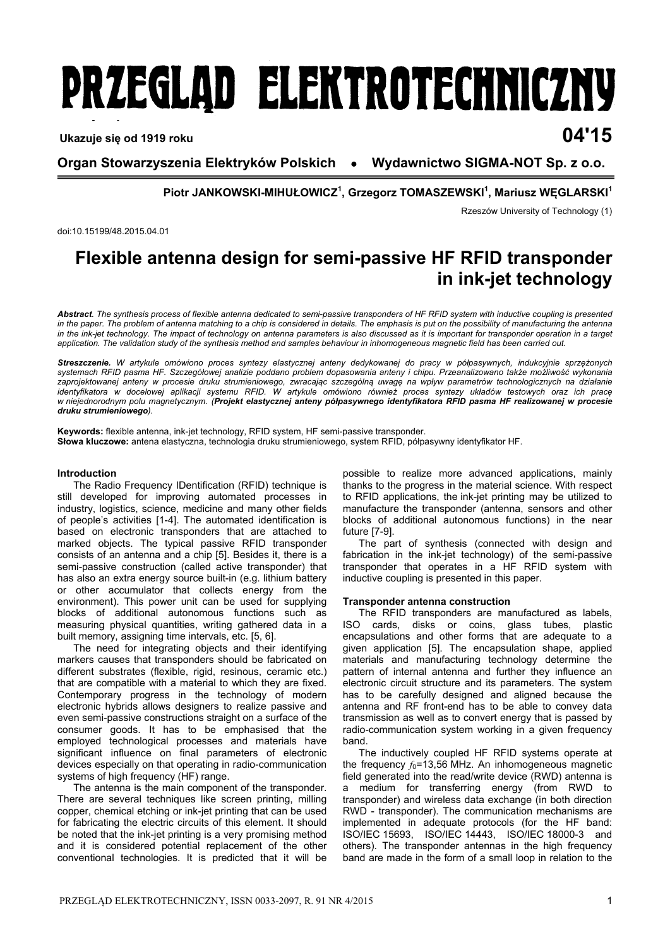# **PRZEGLAD ELEKTROTECHNICZNY**

## **Ukazuje się od 1919 roku 04'15**

**Organ Stowarzyszenia Elektryków Polskich ● Wydawnictwo SIGMA-NOT Sp. z o.o.** 

**Piotr JANKOWSKI-MIHUŁOWICZ1 , Grzegorz TOMASZEWSKI1 , Mariusz WĘGLARSKI1**

Rzeszów University of Technology (1)

doi:10.15199/48.2015.04.01

## **Flexible antenna design for semi-passive HF RFID transponder in ink-jet technology**

*Abstract. The synthesis process of flexible antenna dedicated to semi-passive transponders of HF RFID system with inductive coupling is presented in the paper. The problem of antenna matching to a chip is considered in details. The emphasis is put on the possibility of manufacturing the antenna*  in the ink-jet technology. The impact of technology on antenna parameters is also discussed as it is important for transponder operation in a target *application. The validation study of the synthesis method and samples behaviour in inhomogeneous magnetic field has been carried out.* 

*Streszczenie. W artykule omówiono proces syntezy elastycznej anteny dedykowanej do pracy w półpasywnych, indukcyjnie sprzężonych systemach RFID pasma HF. Szczegółowej analizie poddano problem dopasowania anteny i chipu. Przeanalizowano także możliwość wykonania zaprojektowanej anteny w procesie druku strumieniowego, zwracając szczególną uwagę na wpływ parametrów technologicznych na działanie identyfikatora w docelowej aplikacji systemu RFID. W artykule omówiono również proces syntezy układów testowych oraz ich pracę w niejednorodnym polu magnetycznym. (Projekt elastycznej anteny półpasywnego identyfikatora RFID pasma HF realizowanej w procesie druku strumieniowego).* 

**Keywords:** flexible antenna, ink-jet technology, RFID system, HF semi-passive transponder. **Słowa kluczowe:** antena elastyczna, technologia druku strumieniowego, system RFID, półpasywny identyfikator HF.

#### **Introduction**

The Radio Frequency IDentification (RFID) technique is still developed for improving automated processes in industry, logistics, science, medicine and many other fields of people's activities [1-4]. The automated identification is based on electronic transponders that are attached to marked objects. The typical passive RFID transponder consists of an antenna and a chip [5]. Besides it, there is a semi-passive construction (called active transponder) that has also an extra energy source built-in (e.g. lithium battery or other accumulator that collects energy from the environment). This power unit can be used for supplying blocks of additional autonomous functions such as measuring physical quantities, writing gathered data in a built memory, assigning time intervals, etc. [5, 6].

The need for integrating objects and their identifying markers causes that transponders should be fabricated on different substrates (flexible, rigid, resinous, ceramic etc.) that are compatible with a material to which they are fixed. Contemporary progress in the technology of modern electronic hybrids allows designers to realize passive and even semi-passive constructions straight on a surface of the consumer goods. It has to be emphasised that the employed technological processes and materials have significant influence on final parameters of electronic devices especially on that operating in radio-communication systems of high frequency (HF) range.

The antenna is the main component of the transponder. There are several techniques like screen printing, milling copper, chemical etching or ink-jet printing that can be used for fabricating the electric circuits of this element. It should be noted that the ink-jet printing is a very promising method and it is considered potential replacement of the other conventional technologies. It is predicted that it will be

possible to realize more advanced applications, mainly thanks to the progress in the material science. With respect to RFID applications, the ink-jet printing may be utilized to manufacture the transponder (antenna, sensors and other blocks of additional autonomous functions) in the near future [7-9].

The part of synthesis (connected with design and fabrication in the ink-jet technology) of the semi-passive transponder that operates in a HF RFID system with inductive coupling is presented in this paper.

#### **Transponder antenna construction**

The RFID transponders are manufactured as labels, ISO cards, disks or coins, glass tubes, plastic encapsulations and other forms that are adequate to a given application [5]. The encapsulation shape, applied materials and manufacturing technology determine the pattern of internal antenna and further they influence an electronic circuit structure and its parameters. The system has to be carefully designed and aligned because the antenna and RF front-end has to be able to convey data transmission as well as to convert energy that is passed by radio-communication system working in a given frequency band.

The inductively coupled HF RFID systems operate at the frequency *f*0=13,56 MHz. An inhomogeneous magnetic field generated into the read/write device (RWD) antenna is a medium for transferring energy (from RWD to transponder) and wireless data exchange (in both direction RWD - transponder). The communication mechanisms are implemented in adequate protocols (for the HF band: ISO/IEC 15693, ISO/IEC 14443, ISO/IEC 18000-3 and others). The transponder antennas in the high frequency band are made in the form of a small loop in relation to the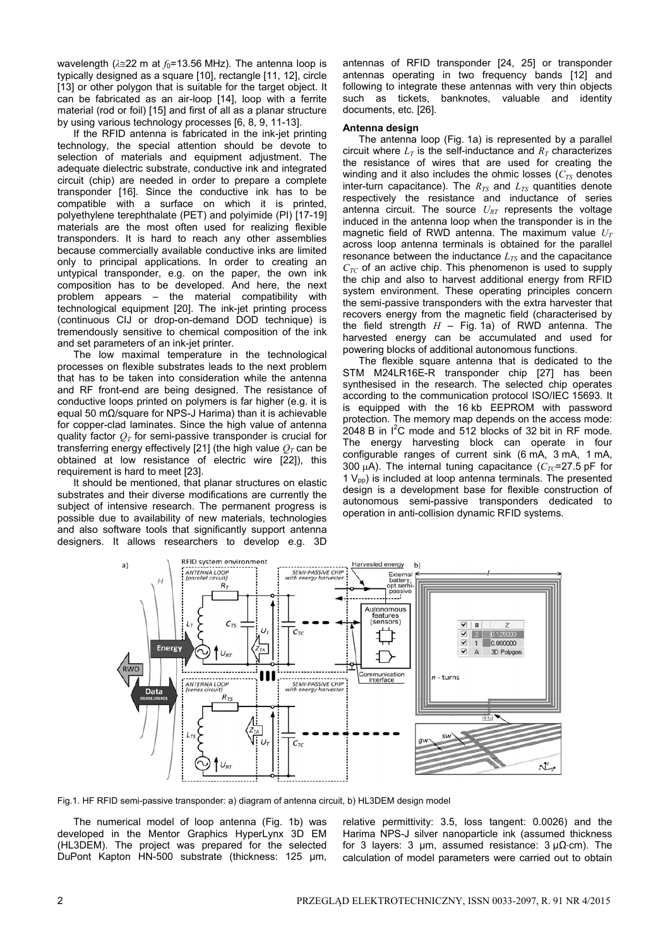wavelength ( $\lambda \leq 22$  m at  $f_0$ =13.56 MHz). The antenna loop is typically designed as a square [10], rectangle [11, 12], circle [13] or other polygon that is suitable for the target object. It can be fabricated as an air-loop [14], loop with a ferrite material (rod or foil) [15] and first of all as a planar structure by using various technology processes [6, 8, 9, 11-13].

If the RFID antenna is fabricated in the ink-jet printing technology, the special attention should be devote to selection of materials and equipment adjustment. The adequate dielectric substrate, conductive ink and integrated circuit (chip) are needed in order to prepare a complete transponder [16]. Since the conductive ink has to be compatible with a surface on which it is printed, polyethylene terephthalate (PET) and polyimide (PI) [17-19] materials are the most often used for realizing flexible transponders. It is hard to reach any other assemblies because commercially available conductive inks are limited only to principal applications. In order to creating an untypical transponder, e.g. on the paper, the own ink composition has to be developed. And here, the next problem appears – the material compatibility with technological equipment [20]. The ink-jet printing process (continuous CIJ or drop-on-demand DOD technique) is tremendously sensitive to chemical composition of the ink and set parameters of an ink-jet printer.

The low maximal temperature in the technological processes on flexible substrates leads to the next problem that has to be taken into consideration while the antenna and RF front-end are being designed. The resistance of conductive loops printed on polymers is far higher (e.g. it is equal 50 mΩ/square for NPS-J Harima) than it is achievable for copper-clad laminates. Since the high value of antenna quality factor  $Q_T$  for semi-passive transponder is crucial for transferring energy effectively [21] (the high value  $Q_T$  can be obtained at low resistance of electric wire [22]), this requirement is hard to meet [23].

It should be mentioned, that planar structures on elastic substrates and their diverse modifications are currently the subject of intensive research. The permanent progress is possible due to availability of new materials, technologies and also software tools that significantly support antenna designers. It allows researchers to develop e.g. 3D

antennas of RFID transponder [24, 25] or transponder antennas operating in two frequency bands [12] and following to integrate these antennas with very thin objects such as tickets, banknotes, valuable and identity documents, etc. [26].

#### **Antenna design**

The antenna loop (Fig. 1a) is represented by a parallel circuit where  $L_T$  is the self-inductance and  $R_T$  characterizes the resistance of wires that are used for creating the winding and it also includes the ohmic losses  $(C_{TS}$  denotes inter-turn capacitance). The  $R_{TS}$  and  $L_{TS}$  quantities denote respectively the resistance and inductance of series antenna circuit. The source  $U_{RT}$  represents the voltage induced in the antenna loop when the transponder is in the magnetic field of RWD antenna. The maximum value  $U_T$ across loop antenna terminals is obtained for the parallel resonance between the inductance  $L_{TS}$  and the capacitance  $C_{TC}$  of an active chip. This phenomenon is used to supply the chip and also to harvest additional energy from RFID system environment. These operating principles concern the semi-passive transponders with the extra harvester that recovers energy from the magnetic field (characterised by the field strength  $H -$  Fig. 1a) of RWD antenna. The harvested energy can be accumulated and used for powering blocks of additional autonomous functions.

The flexible square antenna that is dedicated to the STM M24LR16E-R transponder chip [27] has been synthesised in the research. The selected chip operates according to the communication protocol ISO/IEC 15693. It is equipped with the 16 kb EEPROM with password protection. The memory map depends on the access mode:  $2048$  B in  $1^2$ C mode and 512 blocks of 32 bit in RF mode. The energy harvesting block can operate in four configurable ranges of current sink (6 mA, 3 mA, 1 mA, 300  $\mu$ A). The internal tuning capacitance ( $C_{TC}$ =27.5 pF for  $1 V_{\text{op}}$ ) is included at loop antenna terminals. The presented design is a development base for flexible construction of autonomous semi-passive transponders dedicated to operation in anti-collision dynamic RFID systems.



Fig.1. HF RFID semi-passive transponder: a) diagram of antenna circuit, b) HL3DEM design model

The numerical model of loop antenna (Fig. 1b) was developed in the Mentor Graphics HyperLynx 3D EM (HL3DEM). The project was prepared for the selected DuPont Kapton HN-500 substrate (thickness: 125 µm, relative permittivity: 3.5, loss tangent: 0.0026) and the Harima NPS-J silver nanoparticle ink (assumed thickness for 3 layers: 3  $\mu$ m, assumed resistance: 3  $\mu\Omega$ ⋅cm). The calculation of model parameters were carried out to obtain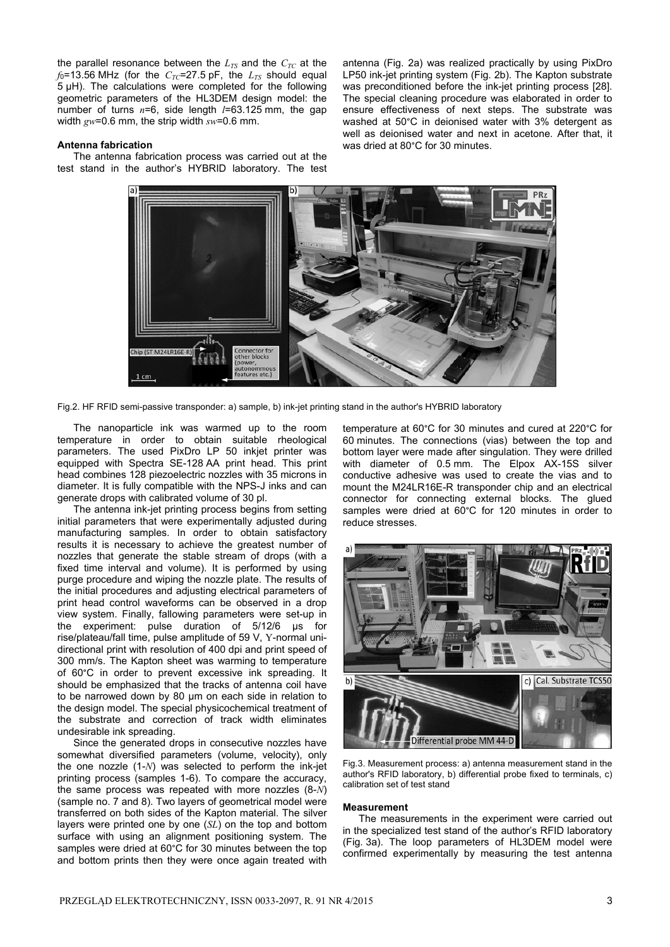the parallel resonance between the  $L_{TS}$  and the  $C_{TC}$  at the  $f_0$ =13.56 MHz (for the  $C_{TC}$ =27.5 pF, the  $L_{TS}$  should equal 5 µH). The calculations were completed for the following geometric parameters of the HL3DEM design model: the number of turns *n*=6, side length *l*=63.125 mm, the gap width *gw*=0.6 mm, the strip width *sw*=0.6 mm.

#### **Antenna fabrication**

The antenna fabrication process was carried out at the test stand in the author's HYBRID laboratory. The test

antenna (Fig. 2a) was realized practically by using PixDro LP50 ink-jet printing system (Fig. 2b). The Kapton substrate was preconditioned before the ink-jet printing process [28]. The special cleaning procedure was elaborated in order to ensure effectiveness of next steps. The substrate was washed at 50°C in deionised water with 3% detergent as well as deionised water and next in acetone. After that, it was dried at 80°C for 30 minutes.



Fig.2. HF RFID semi-passive transponder: a) sample, b) ink-jet printing stand in the author's HYBRID laboratory

The nanoparticle ink was warmed up to the room temperature in order to obtain suitable rheological parameters. The used PixDro LP 50 inkjet printer was equipped with Spectra SE-128 AA print head. This print head combines 128 piezoelectric nozzles with 35 microns in diameter. It is fully compatible with the NPS-J inks and can generate drops with calibrated volume of 30 pl.

The antenna ink-jet printing process begins from setting initial parameters that were experimentally adjusted during manufacturing samples. In order to obtain satisfactory results it is necessary to achieve the greatest number of nozzles that generate the stable stream of drops (with a fixed time interval and volume). It is performed by using purge procedure and wiping the nozzle plate. The results of the initial procedures and adjusting electrical parameters of print head control waveforms can be observed in a drop view system. Finally, fallowing parameters were set-up in the experiment: pulse duration of 5/12/6 µs for rise/plateau/fall time, pulse amplitude of 59 V, Y-normal unidirectional print with resolution of 400 dpi and print speed of 300 mm/s. The Kapton sheet was warming to temperature of 60°C in order to prevent excessive ink spreading. It should be emphasized that the tracks of antenna coil have to be narrowed down by 80 µm on each side in relation to the design model. The special physicochemical treatment of the substrate and correction of track width eliminates undesirable ink spreading.

Since the generated drops in consecutive nozzles have somewhat diversified parameters (volume, velocity), only the one nozzle (1-*N*) was selected to perform the ink-jet printing process (samples 1-6). To compare the accuracy, the same process was repeated with more nozzles (8-*N*) (sample no. 7 and 8). Two layers of geometrical model were transferred on both sides of the Kapton material. The silver layers were printed one by one (*SL*) on the top and bottom surface with using an alignment positioning system. The samples were dried at 60°C for 30 minutes between the top and bottom prints then they were once again treated with

temperature at 60°C for 30 minutes and cured at 220°C for 60 minutes. The connections (vias) between the top and bottom layer were made after singulation. They were drilled with diameter of 0.5 mm. The Elpox AX-15S silver conductive adhesive was used to create the vias and to mount the M24LR16E-R transponder chip and an electrical connector for connecting external blocks. The glued samples were dried at 60°C for 120 minutes in order to reduce stresses.



Fig.3. Measurement process: a) antenna measurement stand in the author's RFID laboratory, b) differential probe fixed to terminals, c) calibration set of test stand

#### **Measurement**

The measurements in the experiment were carried out in the specialized test stand of the author's RFID laboratory (Fig. 3a). The loop parameters of HL3DEM model were confirmed experimentally by measuring the test antenna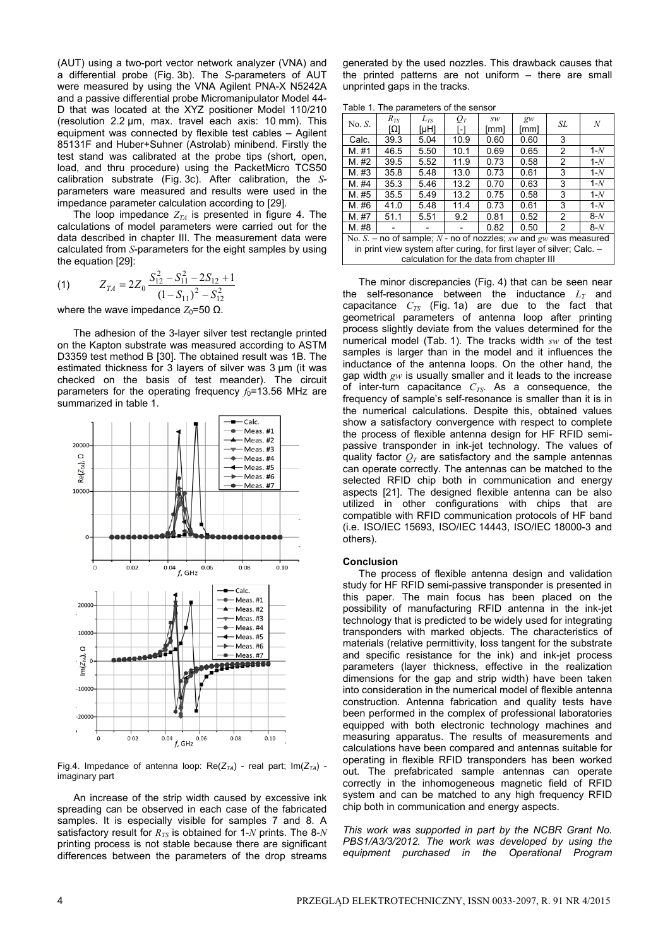(AUT) using a two-port vector network analyzer (VNA) and a differential probe (Fig. 3b). The *S*-parameters of AUT were measured by using the VNA Agilent PNA-X N5242A and a passive differential probe Micromanipulator Model 44- D that was located at the XYZ positioner Model 110/210 (resolution 2.2 μm, max. travel each axis: 10 mm). This equipment was connected by flexible test cables – Agilent 85131F and Huber+Suhner (Astrolab) minibend. Firstly the test stand was calibrated at the probe tips (short, open, load, and thru procedure) using the PacketMicro TCS50 calibration substrate (Fig. 3c). After calibration, the *S*parameters ware measured and results were used in the impedance parameter calculation according to [29].

The loop impedance  $Z_{TA}$  is presented in figure 4. The calculations of model parameters were carried out for the data described in chapter III. The measurement data were calculated from *S*-parameters for the eight samples by using the equation [29]:

(1) 
$$
Z_{TA} = 2Z_0 \frac{S_{12}^2 - S_{11}^2 - 2S_{12} + 1}{(1 - S_{11})^2 - S_{12}^2}
$$

where the wave impedance  $Z_0$ =50 Ω.

The adhesion of the 3-layer silver test rectangle printed on the Kapton substrate was measured according to ASTM D3359 test method B [30]. The obtained result was 1B. The estimated thickness for 3 layers of silver was 3 μm (it was checked on the basis of test meander). The circuit parameters for the operating frequency  $f_0$ =13.56 MHz are summarized in table 1.



Fig.4. Impedance of antenna loop:  $Re(Z_{TA})$  - real part;  $Im(Z_{TA})$  imaginary part

An increase of the strip width caused by excessive ink spreading can be observed in each case of the fabricated samples. It is especially visible for samples 7 and 8. A satisfactory result for  $R_{TS}$  is obtained for 1-*N* prints. The 8-*N* printing process is not stable because there are significant differences between the parameters of the drop streams

generated by the used nozzles. This drawback causes that the printed patterns are not uniform – there are small unprinted gaps in the tracks.

Table 1. The parameters of the sensor

| rapio II ilio paramotoro ol tho concol                                |          |          |       |      |       |    |       |
|-----------------------------------------------------------------------|----------|----------|-------|------|-------|----|-------|
| No. S.                                                                | $R_{TS}$ | $L_{TS}$ | $O_T$ | sw   | $g_W$ | SL | N     |
|                                                                       | וΩז      | [µH]     | - 1   | [mm] | [mm]  |    |       |
| Calc.                                                                 | 39.3     | 5.04     | 10.9  | 0.60 | 0.60  | 3  |       |
| M. #1                                                                 | 46.5     | 5.50     | 10.1  | 0.69 | 0.65  | 2  | $1-N$ |
| M. #2                                                                 | 39.5     | 5.52     | 11.9  | 0.73 | 0.58  | 2  | $1-N$ |
| M. #3                                                                 | 35.8     | 5.48     | 13.0  | 0.73 | 0.61  | 3  | $1-N$ |
| M. #4                                                                 | 35.3     | 5.46     | 13.2  | 0.70 | 0.63  | 3  | $1-N$ |
| M. #5                                                                 | 35.5     | 5.49     | 13.2  | 0.75 | 0.58  | 3  | $1-N$ |
| M. #6                                                                 | 41.0     | 5.48     | 11.4  | 0.73 | 0.61  | 3  | $1-N$ |
| M. #7                                                                 | 51.1     | 5.51     | 9.2   | 0.81 | 0.52  | 2  | $8-N$ |
| M. #8                                                                 |          |          |       | 0.82 | 0.50  | 2  | $8-N$ |
| No. S. – no of sample; N - no of nozzles; sw and gw was measured      |          |          |       |      |       |    |       |
| in print view system after curing, for first layer of silver; Calc. - |          |          |       |      |       |    |       |
| calculation for the data from chapter III                             |          |          |       |      |       |    |       |

The minor discrepancies (Fig. 4) that can be seen near the self-resonance between the inductance  $L<sub>T</sub>$  and capacitance  $C_{TS}$  (Fig. 1a) are due to the fact that geometrical parameters of antenna loop after printing process slightly deviate from the values determined for the numerical model (Tab. 1). The tracks width *sw* of the test samples is larger than in the model and it influences the inductance of the antenna loops. On the other hand, the gap width *gw* is usually smaller and it leads to the increase of inter-turn capacitance  $C_{TS}$ . As a consequence, the frequency of sample's self-resonance is smaller than it is in the numerical calculations. Despite this, obtained values show a satisfactory convergence with respect to complete the process of flexible antenna design for HF RFID semipassive transponder in ink-jet technology. The values of quality factor  $Q_T$  are satisfactory and the sample antennas can operate correctly. The antennas can be matched to the selected RFID chip both in communication and energy aspects [21]. The designed flexible antenna can be also utilized in other configurations with chips that are compatible with RFID communication protocols of HF band (i.e. ISO/IEC 15693, ISO/IEC 14443, ISO/IEC 18000-3 and others).

#### **Conclusion**

The process of flexible antenna design and validation study for HF RFID semi-passive transponder is presented in this paper. The main focus has been placed on the possibility of manufacturing RFID antenna in the ink-jet technology that is predicted to be widely used for integrating transponders with marked objects. The characteristics of materials (relative permittivity, loss tangent for the substrate and specific resistance for the ink) and ink-jet process parameters (layer thickness, effective in the realization dimensions for the gap and strip width) have been taken into consideration in the numerical model of flexible antenna construction. Antenna fabrication and quality tests have been performed in the complex of professional laboratories equipped with both electronic technology machines and measuring apparatus. The results of measurements and calculations have been compared and antennas suitable for operating in flexible RFID transponders has been worked out. The prefabricated sample antennas can operate correctly in the inhomogeneous magnetic field of RFID system and can be matched to any high frequency RFID chip both in communication and energy aspects.

*This work was supported in part by the NCBR Grant No. PBS1/A3/3/2012. The work was developed by using the equipment purchased in the Operational Program*